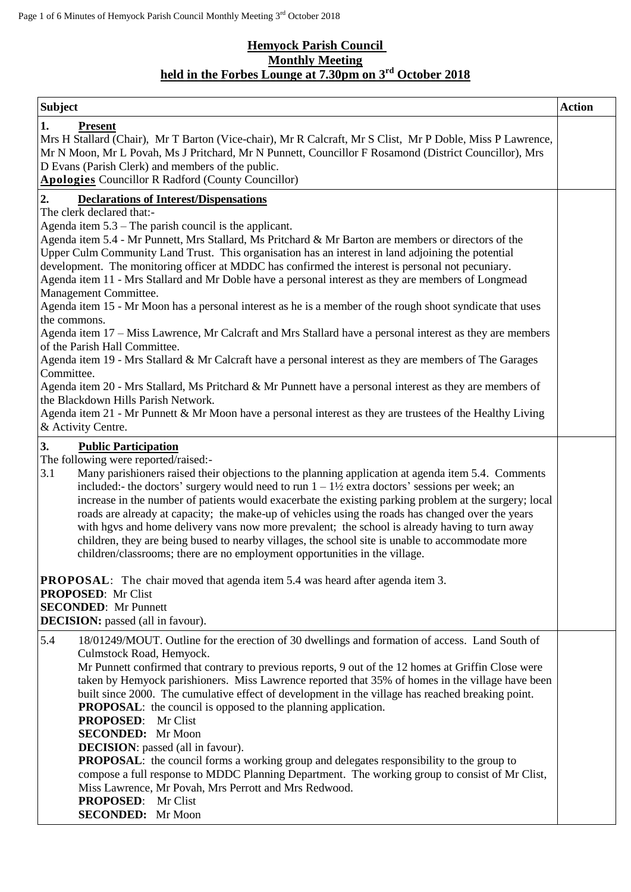# **Hemyock Parish Council Monthly Meeting held in the Forbes Lounge at 7.30pm on 3 rd October 2018**

| <b>Subject</b>                                                                                                                                                                                                                                                                                                                                                                                                                                                                                                                                                                                                                                                                                                                                                                                                                                                                                                                                                                                                                                                                                                                                                                                                                                                      | <b>Action</b> |
|---------------------------------------------------------------------------------------------------------------------------------------------------------------------------------------------------------------------------------------------------------------------------------------------------------------------------------------------------------------------------------------------------------------------------------------------------------------------------------------------------------------------------------------------------------------------------------------------------------------------------------------------------------------------------------------------------------------------------------------------------------------------------------------------------------------------------------------------------------------------------------------------------------------------------------------------------------------------------------------------------------------------------------------------------------------------------------------------------------------------------------------------------------------------------------------------------------------------------------------------------------------------|---------------|
| 1.<br><b>Present</b><br>Mrs H Stallard (Chair), Mr T Barton (Vice-chair), Mr R Calcraft, Mr S Clist, Mr P Doble, Miss P Lawrence,<br>Mr N Moon, Mr L Povah, Ms J Pritchard, Mr N Punnett, Councillor F Rosamond (District Councillor), Mrs<br>D Evans (Parish Clerk) and members of the public.<br><b>Apologies</b> Councillor R Radford (County Councillor)                                                                                                                                                                                                                                                                                                                                                                                                                                                                                                                                                                                                                                                                                                                                                                                                                                                                                                        |               |
| 2.<br><b>Declarations of Interest/Dispensations</b><br>The clerk declared that:-<br>Agenda item $5.3$ – The parish council is the applicant.<br>Agenda item 5.4 - Mr Punnett, Mrs Stallard, Ms Pritchard & Mr Barton are members or directors of the<br>Upper Culm Community Land Trust. This organisation has an interest in land adjoining the potential<br>development. The monitoring officer at MDDC has confirmed the interest is personal not pecuniary.<br>Agenda item 11 - Mrs Stallard and Mr Doble have a personal interest as they are members of Longmead<br>Management Committee.<br>Agenda item 15 - Mr Moon has a personal interest as he is a member of the rough shoot syndicate that uses<br>the commons.<br>Agenda item 17 – Miss Lawrence, Mr Calcraft and Mrs Stallard have a personal interest as they are members<br>of the Parish Hall Committee.<br>Agenda item 19 - Mrs Stallard & Mr Calcraft have a personal interest as they are members of The Garages<br>Committee.<br>Agenda item 20 - Mrs Stallard, Ms Pritchard & Mr Punnett have a personal interest as they are members of<br>the Blackdown Hills Parish Network.<br>Agenda item 21 - Mr Punnett & Mr Moon have a personal interest as they are trustees of the Healthy Living |               |
| & Activity Centre.                                                                                                                                                                                                                                                                                                                                                                                                                                                                                                                                                                                                                                                                                                                                                                                                                                                                                                                                                                                                                                                                                                                                                                                                                                                  |               |
| 3.<br><b>Public Participation</b><br>The following were reported/raised:-<br>3.1<br>Many parishioners raised their objections to the planning application at agenda item 5.4. Comments<br>included:- the doctors' surgery would need to run $1 - 1\frac{1}{2}$ extra doctors' sessions per week; an<br>increase in the number of patients would exacerbate the existing parking problem at the surgery; local<br>roads are already at capacity; the make-up of vehicles using the roads has changed over the years<br>with hgvs and home delivery vans now more prevalent; the school is already having to turn away<br>children, they are being bused to nearby villages, the school site is unable to accommodate more<br>children/classrooms; there are no employment opportunities in the village.<br><b>PROPOSAL:</b> The chair moved that agenda item 5.4 was heard after agenda item 3.<br><b>PROPOSED:</b> Mr Clist<br><b>SECONDED:</b> Mr Punnett<br><b>DECISION:</b> passed (all in favour).                                                                                                                                                                                                                                                              |               |
| 5.4<br>18/01249/MOUT. Outline for the erection of 30 dwellings and formation of access. Land South of<br>Culmstock Road, Hemyock.<br>Mr Punnett confirmed that contrary to previous reports, 9 out of the 12 homes at Griffin Close were<br>taken by Hemyock parishioners. Miss Lawrence reported that 35% of homes in the village have been<br>built since 2000. The cumulative effect of development in the village has reached breaking point.<br><b>PROPOSAL:</b> the council is opposed to the planning application.<br><b>PROPOSED:</b> Mr Clist<br><b>SECONDED:</b> Mr Moon<br><b>DECISION</b> : passed (all in favour).<br>PROPOSAL: the council forms a working group and delegates responsibility to the group to<br>compose a full response to MDDC Planning Department. The working group to consist of Mr Clist,<br>Miss Lawrence, Mr Povah, Mrs Perrott and Mrs Redwood.<br><b>PROPOSED:</b> Mr Clist<br><b>SECONDED:</b> Mr Moon                                                                                                                                                                                                                                                                                                                     |               |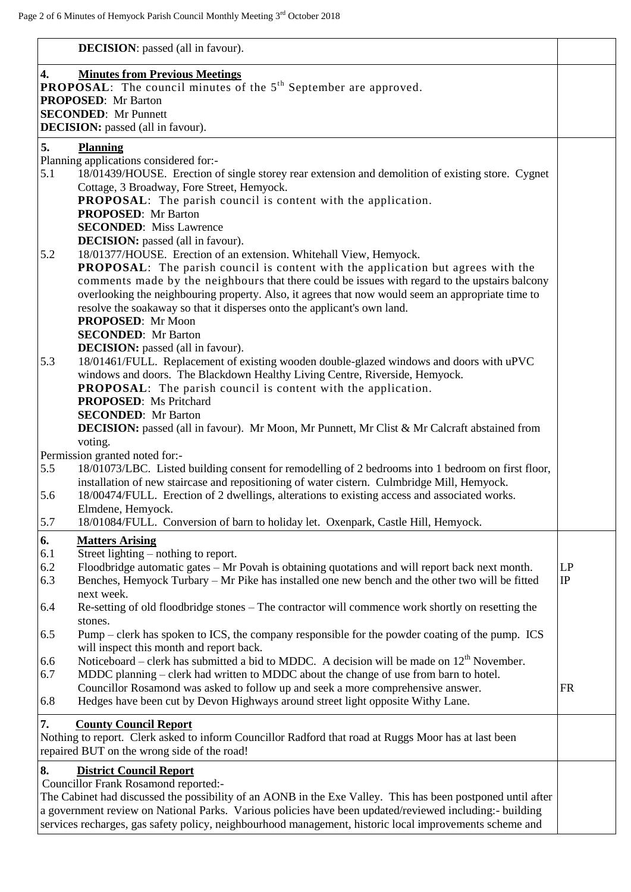|            | <b>DECISION</b> : passed (all in favour).                                                                                                                                                         |                |
|------------|---------------------------------------------------------------------------------------------------------------------------------------------------------------------------------------------------|----------------|
| 4.         | <b>Minutes from Previous Meetings</b>                                                                                                                                                             |                |
|            | <b>PROPOSAL:</b> The council minutes of the $5th$ September are approved.                                                                                                                         |                |
|            | <b>PROPOSED:</b> Mr Barton<br><b>SECONDED:</b> Mr Punnett                                                                                                                                         |                |
|            | <b>DECISION:</b> passed (all in favour).                                                                                                                                                          |                |
| 5.         | <b>Planning</b>                                                                                                                                                                                   |                |
|            | Planning applications considered for:-                                                                                                                                                            |                |
| 5.1        | 18/01439/HOUSE. Erection of single storey rear extension and demolition of existing store. Cygnet                                                                                                 |                |
|            | Cottage, 3 Broadway, Fore Street, Hemyock.                                                                                                                                                        |                |
|            | PROPOSAL: The parish council is content with the application.                                                                                                                                     |                |
|            | <b>PROPOSED:</b> Mr Barton<br><b>SECONDED:</b> Miss Lawrence                                                                                                                                      |                |
|            | <b>DECISION:</b> passed (all in favour).                                                                                                                                                          |                |
| 5.2        | 18/01377/HOUSE. Erection of an extension. Whitehall View, Hemyock.                                                                                                                                |                |
|            | <b>PROPOSAL:</b> The parish council is content with the application but agrees with the                                                                                                           |                |
|            | comments made by the neighbours that there could be issues with regard to the upstairs balcony                                                                                                    |                |
|            | overlooking the neighbouring property. Also, it agrees that now would seem an appropriate time to                                                                                                 |                |
|            | resolve the soakaway so that it disperses onto the applicant's own land.<br>PROPOSED: Mr Moon                                                                                                     |                |
|            | <b>SECONDED:</b> Mr Barton                                                                                                                                                                        |                |
|            | <b>DECISION:</b> passed (all in favour).                                                                                                                                                          |                |
| 5.3        | 18/01461/FULL. Replacement of existing wooden double-glazed windows and doors with uPVC                                                                                                           |                |
|            | windows and doors. The Blackdown Healthy Living Centre, Riverside, Hemyock.                                                                                                                       |                |
|            | <b>PROPOSAL:</b> The parish council is content with the application.<br><b>PROPOSED:</b> Ms Pritchard                                                                                             |                |
|            | <b>SECONDED:</b> Mr Barton                                                                                                                                                                        |                |
|            | <b>DECISION:</b> passed (all in favour). Mr Moon, Mr Punnett, Mr Clist & Mr Calcraft abstained from                                                                                               |                |
|            | voting.                                                                                                                                                                                           |                |
|            | Permission granted noted for:-                                                                                                                                                                    |                |
| 5.5        | 18/01073/LBC. Listed building consent for remodelling of 2 bedrooms into 1 bedroom on first floor,<br>installation of new staircase and repositioning of water cistern. Culmbridge Mill, Hemyock. |                |
| 5.6        | 18/00474/FULL. Erection of 2 dwellings, alterations to existing access and associated works.                                                                                                      |                |
|            | Elmdene. Hemvock.                                                                                                                                                                                 |                |
| 5.7        | 18/01084/FULL. Conversion of barn to holiday let. Oxenpark, Castle Hill, Hemyock.                                                                                                                 |                |
| 6.         | <b>Matters Arising</b>                                                                                                                                                                            |                |
| 6.1        | Street lighting – nothing to report.                                                                                                                                                              |                |
| 6.2<br>6.3 | Floodbridge automatic gates - Mr Povah is obtaining quotations and will report back next month.                                                                                                   | LP<br>$\rm IP$ |
|            | Benches, Hemyock Turbary – Mr Pike has installed one new bench and the other two will be fitted<br>next week.                                                                                     |                |
| 6.4        | Re-setting of old floodbridge stones – The contractor will commence work shortly on resetting the                                                                                                 |                |
|            | stones.                                                                                                                                                                                           |                |
| 6.5        | Pump – clerk has spoken to ICS, the company responsible for the powder coating of the pump. ICS                                                                                                   |                |
|            | will inspect this month and report back.                                                                                                                                                          |                |
| 6.6<br>6.7 | Noticeboard – clerk has submitted a bid to MDDC. A decision will be made on $12th$ November.<br>MDDC planning - clerk had written to MDDC about the change of use from barn to hotel.             |                |
|            | Councillor Rosamond was asked to follow up and seek a more comprehensive answer.                                                                                                                  | <b>FR</b>      |
| 6.8        | Hedges have been cut by Devon Highways around street light opposite Withy Lane.                                                                                                                   |                |
| 7.         | <b>County Council Report</b>                                                                                                                                                                      |                |
|            | Nothing to report. Clerk asked to inform Councillor Radford that road at Ruggs Moor has at last been                                                                                              |                |
|            | repaired BUT on the wrong side of the road!                                                                                                                                                       |                |
| 8.         | <b>District Council Report</b>                                                                                                                                                                    |                |
|            | <b>Councillor Frank Rosamond reported:-</b>                                                                                                                                                       |                |
|            | The Cabinet had discussed the possibility of an AONB in the Exe Valley. This has been postponed until after                                                                                       |                |
|            | a government review on National Parks. Various policies have been updated/reviewed including:- building                                                                                           |                |
|            | services recharges, gas safety policy, neighbourhood management, historic local improvements scheme and                                                                                           |                |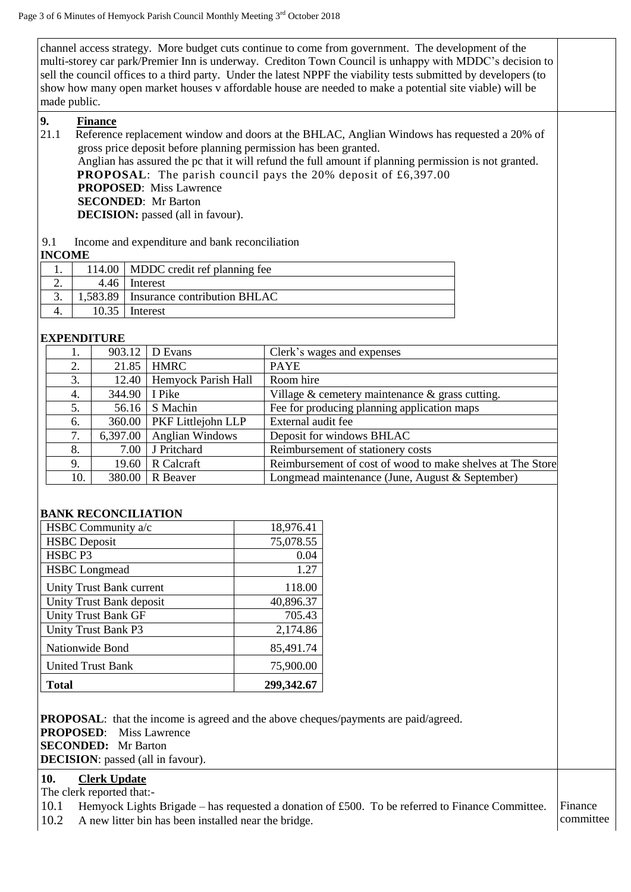channel access strategy. More budget cuts continue to come from government. The development of the multi-storey car park/Premier Inn is underway. Crediton Town Council is unhappy with MDDC's decision to sell the council offices to a third party. Under the latest NPPF the viability tests submitted by developers (to show how many open market houses v affordable house are needed to make a potential site viable) will be made public.

**9. Finance**

- 21.1 Reference replacement window and doors at the BHLAC, Anglian Windows has requested a 20% of gross price deposit before planning permission has been granted. Anglian has assured the pc that it will refund the full amount if planning permission is not granted. **PROPOSAL:** The parish council pays the 20% deposit of £6,397.00 **PROPOSED**: Miss Lawrence **SECONDED**: Mr Barton **DECISION:** passed (all in favour).
- 9.1 Income and expenditure and bank reconciliation

### **INCOME**

| --------- |         |                                       |  |
|-----------|---------|---------------------------------------|--|
|           |         | 114.00   MDDC credit ref planning fee |  |
| ـ ـ       | 4.46    | Interest                              |  |
| J.        | .583.89 | Insurance contribution BHLAC          |  |
|           | 10.35   | Interest                              |  |

## **EXPENDITURE**

| 1.  |       | D Evans                | Clerk's wages and expenses                                                 |
|-----|-------|------------------------|----------------------------------------------------------------------------|
| 2.  |       | <b>HMRC</b>            | <b>PAYE</b>                                                                |
| 3.  | 12.40 | Hemyock Parish Hall    | Room hire                                                                  |
| 4.  |       | I Pike                 | Village $&$ cemetery maintenance $&$ grass cutting.                        |
| 5.  |       | S Machin               | Fee for producing planning application maps                                |
| 6.  |       | PKF Littlejohn LLP     | External audit fee                                                         |
| 7.  |       | <b>Anglian Windows</b> | Deposit for windows BHLAC                                                  |
| 8.  |       | J Pritchard            | Reimbursement of stationery costs                                          |
| 9.  | 19.60 | R Calcraft             | Reimbursement of cost of wood to make shelves at The Store                 |
| 10. |       | R Beaver               | Longmead maintenance (June, August & September)                            |
|     |       |                        | 903.12<br>21.85<br>344.90<br>56.16<br>360.00<br>6,397.00<br>7.00<br>380.00 |

### **BANK RECONCILIATION**

| HSBC Community a/c         | 18,976.41  |
|----------------------------|------------|
| <b>HSBC</b> Deposit        | 75,078.55  |
| HSBC <sub>P3</sub>         | 0.04       |
| <b>HSBC</b> Longmead       | 1.27       |
| Unity Trust Bank current   | 118.00     |
| Unity Trust Bank deposit   | 40,896.37  |
| <b>Unity Trust Bank GF</b> | 705.43     |
| Unity Trust Bank P3        | 2,174.86   |
| Nationwide Bond            | 85,491.74  |
| <b>United Trust Bank</b>   | 75,900.00  |
| Total                      | 299,342.67 |

**PROPOSAL**: that the income is agreed and the above cheques/payments are paid/agreed. **PROPOSED**: Miss Lawrence **SECONDED:** Mr Barton **DECISION**: passed (all in favour).

# **10. Clerk Update**

The clerk reported that:-

10.1 Hemyock Lights Brigade – has requested a donation of £500. To be referred to Finance Committee. 10.2 A new litter bin has been installed near the bridge. Finance committee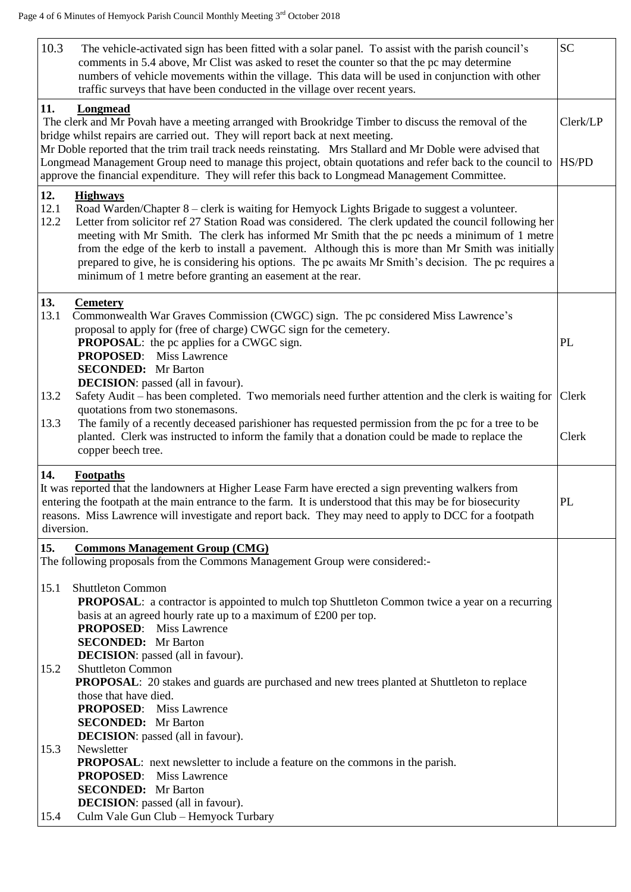| 10.3<br>The vehicle-activated sign has been fitted with a solar panel. To assist with the parish council's<br>comments in 5.4 above, Mr Clist was asked to reset the counter so that the pc may determine<br>numbers of vehicle movements within the village. This data will be used in conjunction with other<br>traffic surveys that have been conducted in the village over recent years.                                                                                                                                                                                                                                  | <b>SC</b>         |
|-------------------------------------------------------------------------------------------------------------------------------------------------------------------------------------------------------------------------------------------------------------------------------------------------------------------------------------------------------------------------------------------------------------------------------------------------------------------------------------------------------------------------------------------------------------------------------------------------------------------------------|-------------------|
| 11.<br>Longmead<br>The clerk and Mr Povah have a meeting arranged with Brookridge Timber to discuss the removal of the<br>bridge whilst repairs are carried out. They will report back at next meeting.<br>Mr Doble reported that the trim trail track needs reinstating. Mrs Stallard and Mr Doble were advised that<br>Longmead Management Group need to manage this project, obtain quotations and refer back to the council to                                                                                                                                                                                            | Clerk/LP<br>HS/PD |
| approve the financial expenditure. They will refer this back to Longmead Management Committee.                                                                                                                                                                                                                                                                                                                                                                                                                                                                                                                                |                   |
| 12.<br><b>Highways</b><br>12.1<br>Road Warden/Chapter 8 – clerk is waiting for Hemyock Lights Brigade to suggest a volunteer.<br>12.2<br>Letter from solicitor ref 27 Station Road was considered. The clerk updated the council following her<br>meeting with Mr Smith. The clerk has informed Mr Smith that the pc needs a minimum of 1 metre<br>from the edge of the kerb to install a pavement. Although this is more than Mr Smith was initially<br>prepared to give, he is considering his options. The pc awaits Mr Smith's decision. The pc requires a<br>minimum of 1 metre before granting an easement at the rear. |                   |
| 13.<br><b>Cemetery</b><br>13.1<br>Commonwealth War Graves Commission (CWGC) sign. The pc considered Miss Lawrence's<br>proposal to apply for (free of charge) CWGC sign for the cemetery.<br><b>PROPOSAL:</b> the pc applies for a CWGC sign.<br><b>PROPOSED:</b> Miss Lawrence<br><b>SECONDED:</b> Mr Barton                                                                                                                                                                                                                                                                                                                 | PL                |
| <b>DECISION</b> : passed (all in favour).<br>13.2<br>Safety Audit – has been completed. Two memorials need further attention and the clerk is waiting for<br>quotations from two stonemasons.<br>The family of a recently deceased parishioner has requested permission from the pc for a tree to be<br>13.3<br>planted. Clerk was instructed to inform the family that a donation could be made to replace the<br>copper beech tree.                                                                                                                                                                                         | Clerk<br>Clerk    |
| 14.<br><b>Footpaths</b><br>It was reported that the landowners at Higher Lease Farm have erected a sign preventing walkers from<br>entering the footpath at the main entrance to the farm. It is understood that this may be for biosecurity<br>reasons. Miss Lawrence will investigate and report back. They may need to apply to DCC for a footpath<br>diversion.                                                                                                                                                                                                                                                           | PL                |
| 15.<br><b>Commons Management Group (CMG)</b><br>The following proposals from the Commons Management Group were considered:-                                                                                                                                                                                                                                                                                                                                                                                                                                                                                                   |                   |
| <b>Shuttleton Common</b><br>15.1<br><b>PROPOSAL:</b> a contractor is appointed to mulch top Shuttleton Common twice a year on a recurring<br>basis at an agreed hourly rate up to a maximum of £200 per top.<br><b>PROPOSED:</b> Miss Lawrence<br><b>SECONDED:</b> Mr Barton<br><b>DECISION</b> : passed (all in favour).                                                                                                                                                                                                                                                                                                     |                   |
| <b>Shuttleton Common</b><br>15.2<br>PROPOSAL: 20 stakes and guards are purchased and new trees planted at Shuttleton to replace<br>those that have died.<br><b>PROPOSED:</b> Miss Lawrence<br><b>SECONDED:</b> Mr Barton<br><b>DECISION</b> : passed (all in favour).                                                                                                                                                                                                                                                                                                                                                         |                   |
| 15.3<br>Newsletter<br><b>PROPOSAL:</b> next newsletter to include a feature on the commons in the parish.<br><b>PROPOSED:</b> Miss Lawrence<br><b>SECONDED:</b> Mr Barton<br><b>DECISION</b> : passed (all in favour).                                                                                                                                                                                                                                                                                                                                                                                                        |                   |
| Culm Vale Gun Club - Hemyock Turbary<br>15.4                                                                                                                                                                                                                                                                                                                                                                                                                                                                                                                                                                                  |                   |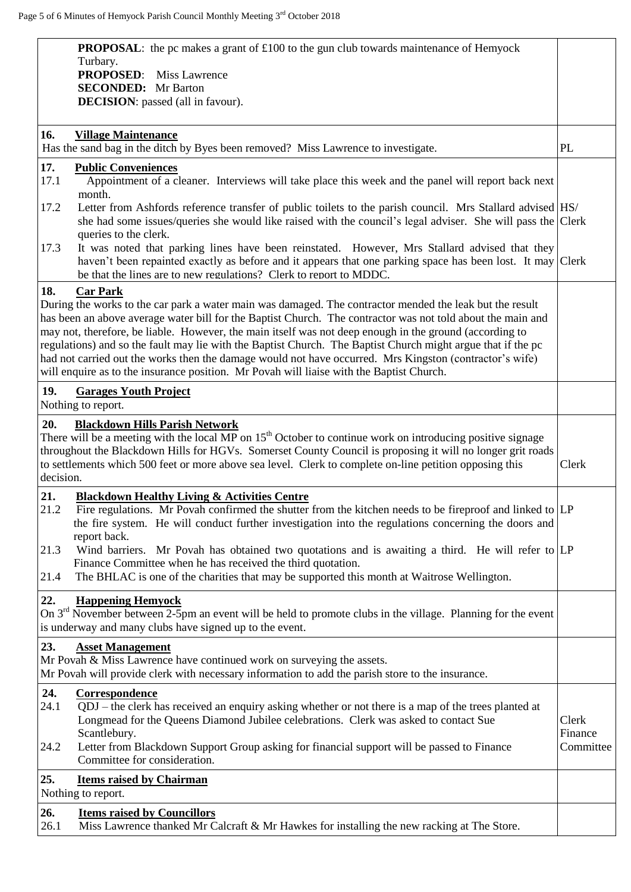| <b>PROPOSAL:</b> the pc makes a grant of $\text{\pounds}100$ to the gun club towards maintenance of Hemyock                                                                                                                                                                                                                                                                                                                                                                                                                                                                                                                                                                         |                               |
|-------------------------------------------------------------------------------------------------------------------------------------------------------------------------------------------------------------------------------------------------------------------------------------------------------------------------------------------------------------------------------------------------------------------------------------------------------------------------------------------------------------------------------------------------------------------------------------------------------------------------------------------------------------------------------------|-------------------------------|
| Turbary.<br><b>PROPOSED:</b> Miss Lawrence                                                                                                                                                                                                                                                                                                                                                                                                                                                                                                                                                                                                                                          |                               |
| <b>SECONDED:</b> Mr Barton                                                                                                                                                                                                                                                                                                                                                                                                                                                                                                                                                                                                                                                          |                               |
| <b>DECISION</b> : passed (all in favour).                                                                                                                                                                                                                                                                                                                                                                                                                                                                                                                                                                                                                                           |                               |
|                                                                                                                                                                                                                                                                                                                                                                                                                                                                                                                                                                                                                                                                                     |                               |
| 16.<br><b>Village Maintenance</b><br>Has the sand bag in the ditch by Byes been removed? Miss Lawrence to investigate.                                                                                                                                                                                                                                                                                                                                                                                                                                                                                                                                                              | PL                            |
| 17.<br><b>Public Conveniences</b><br>17.1<br>Appointment of a cleaner. Interviews will take place this week and the panel will report back next<br>month.                                                                                                                                                                                                                                                                                                                                                                                                                                                                                                                           |                               |
| Letter from Ashfords reference transfer of public toilets to the parish council. Mrs Stallard advised HS/<br>17.2<br>she had some issues/queries she would like raised with the council's legal adviser. She will pass the Clerk                                                                                                                                                                                                                                                                                                                                                                                                                                                    |                               |
| queries to the clerk.<br>17.3<br>It was noted that parking lines have been reinstated. However, Mrs Stallard advised that they<br>haven't been repainted exactly as before and it appears that one parking space has been lost. It may Clerk<br>be that the lines are to new regulations? Clerk to report to MDDC.                                                                                                                                                                                                                                                                                                                                                                  |                               |
| 18.<br><b>Car Park</b><br>During the works to the car park a water main was damaged. The contractor mended the leak but the result<br>has been an above average water bill for the Baptist Church. The contractor was not told about the main and<br>may not, therefore, be liable. However, the main itself was not deep enough in the ground (according to<br>regulations) and so the fault may lie with the Baptist Church. The Baptist Church might argue that if the pc<br>had not carried out the works then the damage would not have occurred. Mrs Kingston (contractor's wife)<br>will enquire as to the insurance position. Mr Povah will liaise with the Baptist Church. |                               |
| 19.<br><b>Garages Youth Project</b><br>Nothing to report.                                                                                                                                                                                                                                                                                                                                                                                                                                                                                                                                                                                                                           |                               |
| 20.<br><b>Blackdown Hills Parish Network</b><br>There will be a meeting with the local MP on $15th$ October to continue work on introducing positive signage<br>throughout the Blackdown Hills for HGVs. Somerset County Council is proposing it will no longer grit roads<br>to settlements which 500 feet or more above sea level. Clerk to complete on-line petition opposing this<br>decision.                                                                                                                                                                                                                                                                                  | Clerk                         |
| 21.<br><b>Blackdown Healthy Living &amp; Activities Centre</b><br>21.2<br>Fire regulations. Mr Povah confirmed the shutter from the kitchen needs to be fireproof and linked to $ LP $<br>the fire system. He will conduct further investigation into the regulations concerning the doors and                                                                                                                                                                                                                                                                                                                                                                                      |                               |
| report back.<br>Wind barriers. Mr Povah has obtained two quotations and is awaiting a third. He will refer to LP<br>21.3<br>Finance Committee when he has received the third quotation.<br>The BHLAC is one of the charities that may be supported this month at Waitrose Wellington.<br>21.4                                                                                                                                                                                                                                                                                                                                                                                       |                               |
| 22.<br><b>Happening Hemyock</b><br>On 3 <sup>rd</sup> November between 2-5pm an event will be held to promote clubs in the village. Planning for the event<br>is underway and many clubs have signed up to the event.                                                                                                                                                                                                                                                                                                                                                                                                                                                               |                               |
| 23.<br><b>Asset Management</b><br>Mr Povah & Miss Lawrence have continued work on surveying the assets.<br>Mr Povah will provide clerk with necessary information to add the parish store to the insurance.                                                                                                                                                                                                                                                                                                                                                                                                                                                                         |                               |
| 24.<br>Correspondence<br>24.1<br>QDJ – the clerk has received an enquiry asking whether or not there is a map of the trees planted at<br>Longmead for the Queens Diamond Jubilee celebrations. Clerk was asked to contact Sue<br>Scantlebury.<br>Letter from Blackdown Support Group asking for financial support will be passed to Finance<br>24.2<br>Committee for consideration.                                                                                                                                                                                                                                                                                                 | Clerk<br>Finance<br>Committee |
| 25.<br><b>Items raised by Chairman</b><br>Nothing to report.                                                                                                                                                                                                                                                                                                                                                                                                                                                                                                                                                                                                                        |                               |
| 26.<br><b>Items raised by Councillors</b>                                                                                                                                                                                                                                                                                                                                                                                                                                                                                                                                                                                                                                           |                               |
| 26.1<br>Miss Lawrence thanked Mr Calcraft & Mr Hawkes for installing the new racking at The Store.                                                                                                                                                                                                                                                                                                                                                                                                                                                                                                                                                                                  |                               |